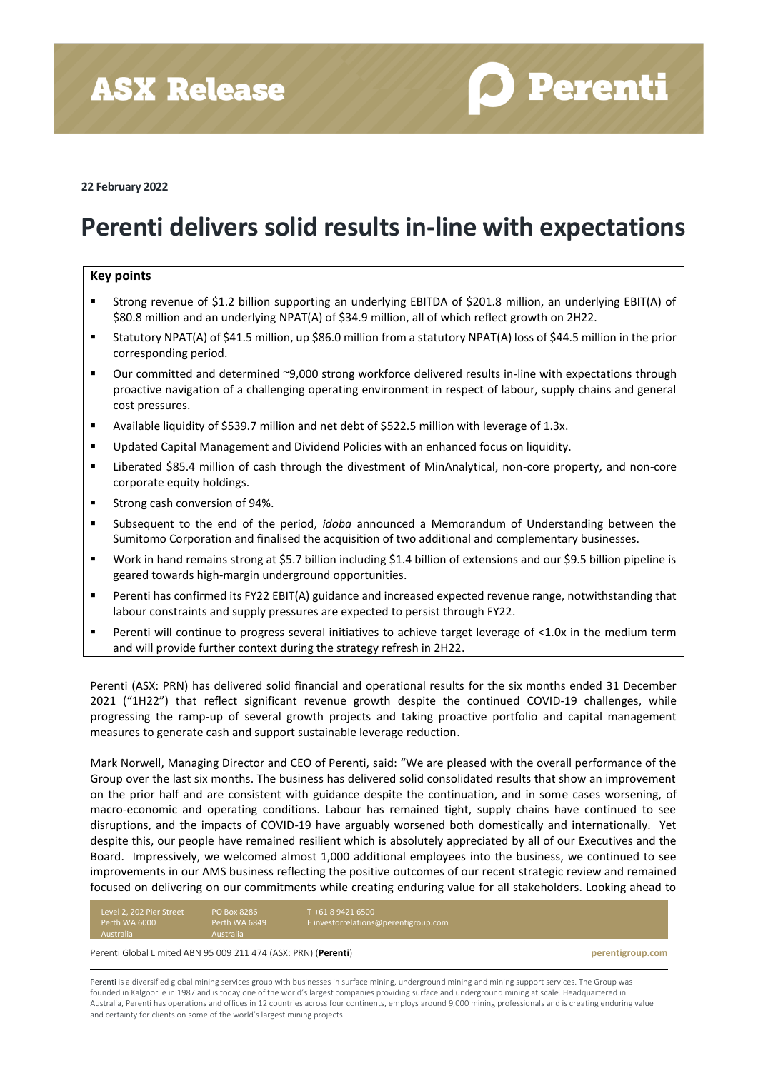**ASX Release** 

**O** Perenti

**22 February 2022**

# **Perenti delivers solid results in-line with expectations**

### **Key points**

- Strong revenue of \$1.2 billion supporting an underlying EBITDA of \$201.8 million, an underlying EBIT(A) of \$80.8 million and an underlying NPAT(A) of \$34.9 million, all of which reflect growth on 2H22.
- Statutory NPAT(A) of \$41.5 million, up \$86.0 million from a statutory NPAT(A) loss of \$44.5 million in the prior corresponding period.
- Our committed and determined ~9,000 strong workforce delivered results in-line with expectations through proactive navigation of a challenging operating environment in respect of labour, supply chains and general cost pressures.
- Available liquidity of \$539.7 million and net debt of \$522.5 million with leverage of 1.3x.
- Updated Capital Management and Dividend Policies with an enhanced focus on liquidity.
- Liberated \$85.4 million of cash through the divestment of MinAnalytical, non-core property, and non-core corporate equity holdings.
- Strong cash conversion of 94%.
- Subsequent to the end of the period, *idoba* announced a Memorandum of Understanding between the Sumitomo Corporation and finalised the acquisition of two additional and complementary businesses.
- Work in hand remains strong at \$5.7 billion including \$1.4 billion of extensions and our \$9.5 billion pipeline is geared towards high-margin underground opportunities.
- Perenti has confirmed its FY22 EBIT(A) guidance and increased expected revenue range, notwithstanding that labour constraints and supply pressures are expected to persist through FY22.
- Perenti will continue to progress several initiatives to achieve target leverage of <1.0x in the medium term and will provide further context during the strategy refresh in 2H22.

Perenti (ASX: PRN) has delivered solid financial and operational results for the six months ended 31 December 2021 ("1H22") that reflect significant revenue growth despite the continued COVID-19 challenges, while progressing the ramp-up of several growth projects and taking proactive portfolio and capital management measures to generate cash and support sustainable leverage reduction.

Mark Norwell, Managing Director and CEO of Perenti, said: "We are pleased with the overall performance of the Group over the last six months. The business has delivered solid consolidated results that show an improvement on the prior half and are consistent with guidance despite the continuation, and in some cases worsening, of macro-economic and operating conditions. Labour has remained tight, supply chains have continued to see disruptions, and the impacts of COVID-19 have arguably worsened both domestically and internationally. Yet despite this, our people have remained resilient which is absolutely appreciated by all of our Executives and the Board. Impressively, we welcomed almost 1,000 additional employees into the business, we continued to see improvements in our AMS business reflecting the positive outcomes of our recent strategic review and remained focused on delivering on our commitments while creating enduring value for all stakeholders. Looking ahead to

| Level 2, 202 Pier Street | <b>PO Box 8286</b> | T +61 8 9421 6500                     |
|--------------------------|--------------------|---------------------------------------|
| Perth WA 6000            | Perth WA 6849      | E investorrelations@perentigroup.com, |
| Australia                | <b>Australia</b>   |                                       |

Perenti Global Limited ABN 95 009 211 474 (ASX: PRN) (**Perenti**) **perentigroup.com**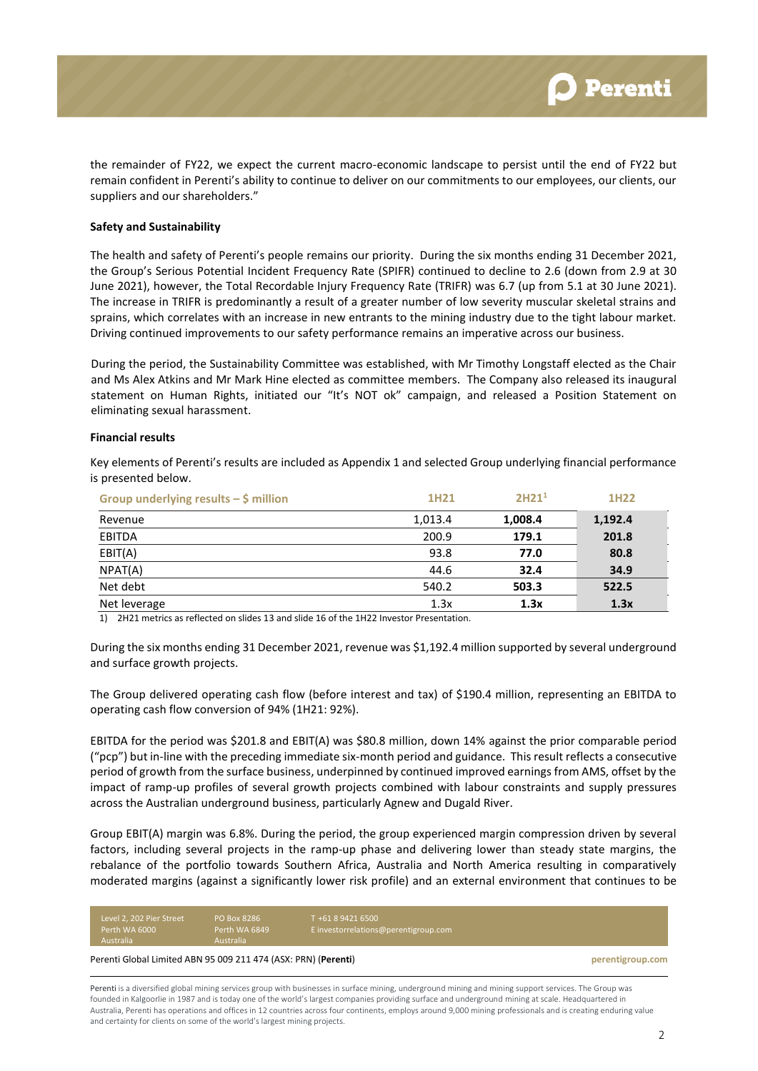the remainder of FY22, we expect the current macro-economic landscape to persist until the end of FY22 but remain confident in Perenti's ability to continue to deliver on our commitments to our employees, our clients, our suppliers and our shareholders."

#### **Safety and Sustainability**

The health and safety of Perenti's people remains our priority. During the six months ending 31 December 2021, the Group's Serious Potential Incident Frequency Rate (SPIFR) continued to decline to 2.6 (down from 2.9 at 30 June 2021), however, the Total Recordable Injury Frequency Rate (TRIFR) was 6.7 (up from 5.1 at 30 June 2021). The increase in TRIFR is predominantly a result of a greater number of low severity muscular skeletal strains and sprains, which correlates with an increase in new entrants to the mining industry due to the tight labour market. Driving continued improvements to our safety performance remains an imperative across our business.

During the period, the Sustainability Committee was established, with Mr Timothy Longstaff elected as the Chair and Ms Alex Atkins and Mr Mark Hine elected as committee members. The Company also released its inaugural statement on Human Rights, initiated our "It's NOT ok" campaign, and released a Position Statement on eliminating sexual harassment.

#### **Financial results**

Key elements of Perenti's results are included as Appendix 1 and selected Group underlying financial performance is presented below.

| Group underlying results $-\xi$ million | 1H <sub>21</sub> | 2H21 <sup>1</sup> | 1H <sub>22</sub> |
|-----------------------------------------|------------------|-------------------|------------------|
| Revenue                                 | 1,013.4          | 1,008.4           | 1,192.4          |
| <b>EBITDA</b>                           | 200.9            | 179.1             | 201.8            |
| EBIT(A)                                 | 93.8             | 77.0              | 80.8             |
| NPAT(A)                                 | 44.6             | 32.4              | 34.9             |
| Net debt                                | 540.2            | 503.3             | 522.5            |
| Net leverage                            | 1.3x             | 1.3x              | 1.3x             |

1) 2H21 metrics as reflected on slides 13 and slide 16 of the 1H22 Investor Presentation.

During the six months ending 31 December 2021, revenue was \$1,192.4 million supported by several underground and surface growth projects.

The Group delivered operating cash flow (before interest and tax) of \$190.4 million, representing an EBITDA to operating cash flow conversion of 94% (1H21: 92%).

EBITDA for the period was \$201.8 and EBIT(A) was \$80.8 million, down 14% against the prior comparable period ("pcp") but in-line with the preceding immediate six-month period and guidance. This result reflects a consecutive period of growth from the surface business, underpinned by continued improved earnings from AMS, offset by the impact of ramp-up profiles of several growth projects combined with labour constraints and supply pressures across the Australian underground business, particularly Agnew and Dugald River.

Group EBIT(A) margin was 6.8%. During the period, the group experienced margin compression driven by several factors, including several projects in the ramp-up phase and delivering lower than steady state margins, the rebalance of the portfolio towards Southern Africa, Australia and North America resulting in comparatively moderated margins (against a significantly lower risk profile) and an external environment that continues to be

| Level 2, 202 Pier Street                                                           | <b>PO Box 8286</b>                | T +61 8 9421 6500                    |  |  |
|------------------------------------------------------------------------------------|-----------------------------------|--------------------------------------|--|--|
| Perth WA 6000<br><b>Australia</b>                                                  | Perth WA 6849<br><b>Australia</b> | E investorrelations@perentigroup.com |  |  |
| Perenti Global Limited ABN 95 009 211 474 (ASX: PRN) (Perenti)<br>perentigroup.com |                                   |                                      |  |  |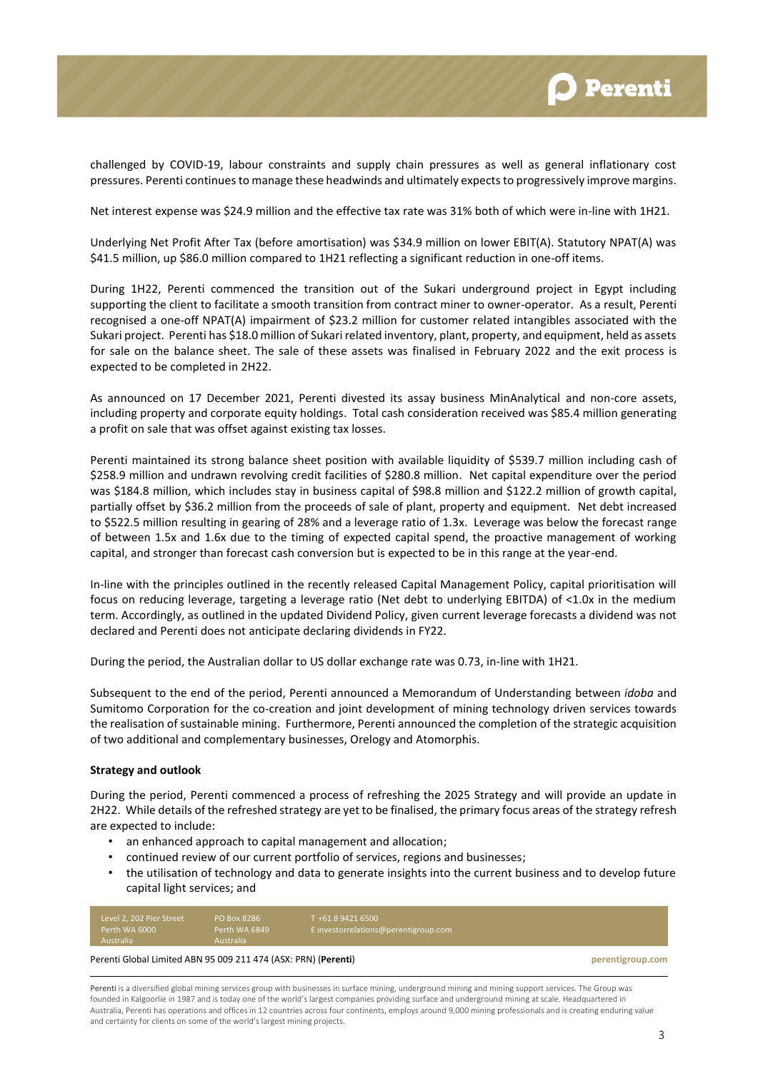

challenged by COVID-19, labour constraints and supply chain pressures as well as general inflationary cost pressures. Perenti continues to manage these headwinds and ultimately expects to progressively improve margins.

Net interest expense was \$24.9 million and the effective tax rate was 31% both of which were in-line with 1H21.

Underlying Net Profit After Tax (before amortisation) was \$34.9 million on lower EBIT(A). Statutory NPAT(A) was \$41.5 million, up \$86.0 million compared to 1H21 reflecting a significant reduction in one-off items.

During 1H22, Perenti commenced the transition out of the Sukari underground project in Egypt including supporting the client to facilitate a smooth transition from contract miner to owner-operator. As a result, Perenti recognised a one-off NPAT(A) impairment of \$23.2 million for customer related intangibles associated with the Sukari project. Perenti has \$18.0 million of Sukari related inventory, plant, property, and equipment, held as assets for sale on the balance sheet. The sale of these assets was finalised in February 2022 and the exit process is expected to be completed in 2H22.

As announced on 17 December 2021, Perenti divested its assay business MinAnalytical and non-core assets, including property and corporate equity holdings. Total cash consideration received was \$85.4 million generating a profit on sale that was offset against existing tax losses.

Perenti maintained its strong balance sheet position with available liquidity of \$539.7 million including cash of \$258.9 million and undrawn revolving credit facilities of \$280.8 million. Net capital expenditure over the period was \$184.8 million, which includes stay in business capital of \$98.8 million and \$122.2 million of growth capital, partially offset by \$36.2 million from the proceeds of sale of plant, property and equipment. Net debt increased to \$522.5 million resulting in gearing of 28% and a leverage ratio of 1.3x. Leverage was below the forecast range of between 1.5x and 1.6x due to the timing of expected capital spend, the proactive management of working capital, and stronger than forecast cash conversion but is expected to be in this range at the year-end.

In-line with the principles outlined in the recently released Capital Management Policy, capital prioritisation will focus on reducing leverage, targeting a leverage ratio (Net debt to underlying EBITDA) of <1.0x in the medium term. Accordingly, as outlined in the updated Dividend Policy, given current leverage forecasts a dividend was not declared and Perenti does not anticipate declaring dividends in FY22.

During the period, the Australian dollar to US dollar exchange rate was 0.73, in-line with 1H21.

Subsequent to the end of the period, Perenti announced a Memorandum of Understanding between *idoba* and Sumitomo Corporation for the co-creation and joint development of mining technology driven services towards the realisation of sustainable mining. Furthermore, Perenti announced the completion of the strategic acquisition of two additional and complementary businesses, Orelogy and Atomorphis.

#### **Strategy and outlook**

During the period, Perenti commenced a process of refreshing the 2025 Strategy and will provide an update in 2H22. While details of the refreshed strategy are yet to be finalised, the primary focus areas of the strategy refresh are expected to include:

- an enhanced approach to capital management and allocation;
- continued review of our current portfolio of services, regions and businesses;
- the utilisation of technology and data to generate insights into the current business and to develop future capital light services; and

| Level 2, 202 Pier Street | PO Box 8286   | T +61 8 9421 6500                    |
|--------------------------|---------------|--------------------------------------|
| Perth WA 6000            | Perth WA 6849 | E investorrelations@perentigroup.com |
| Australia                | Australia     |                                      |

#### Perenti Global Limited ABN 95 009 211 474 (ASX: PRN) (**Perenti**) **perentigroup.com**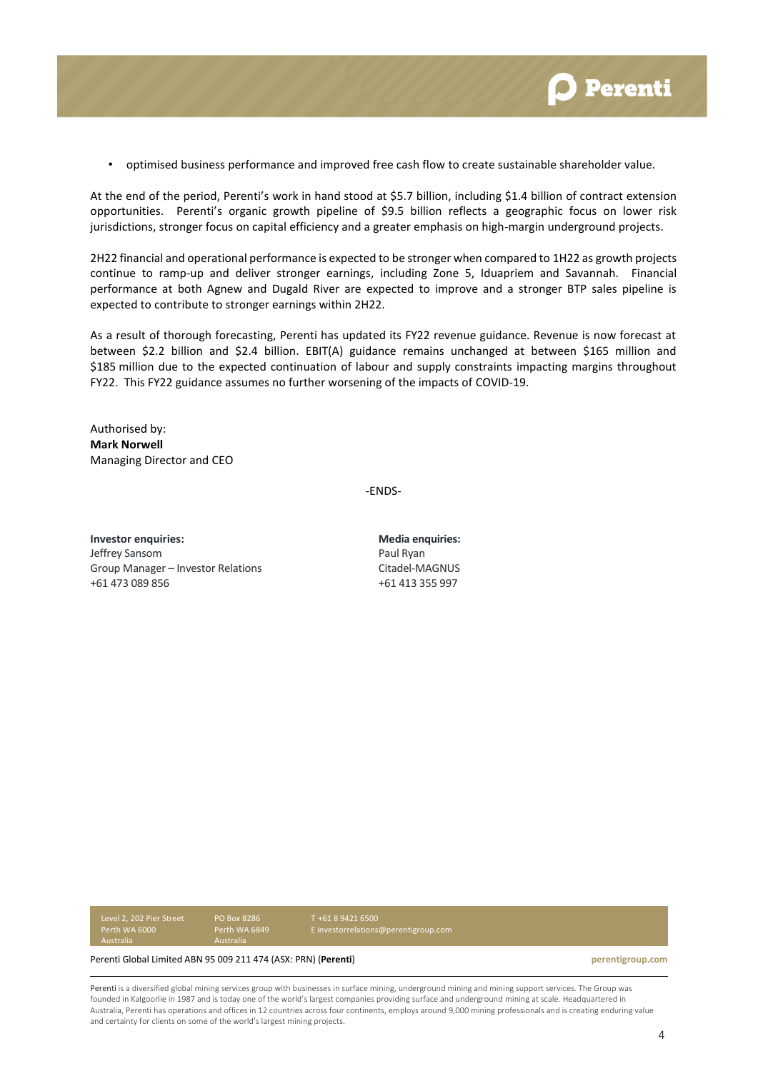

• optimised business performance and improved free cash flow to create sustainable shareholder value.

At the end of the period, Perenti's work in hand stood at \$5.7 billion, including \$1.4 billion of contract extension opportunities. Perenti's organic growth pipeline of \$9.5 billion reflects a geographic focus on lower risk jurisdictions, stronger focus on capital efficiency and a greater emphasis on high-margin underground projects.

2H22 financial and operational performance is expected to be stronger when compared to 1H22 as growth projects continue to ramp-up and deliver stronger earnings, including Zone 5, Iduapriem and Savannah. Financial performance at both Agnew and Dugald River are expected to improve and a stronger BTP sales pipeline is expected to contribute to stronger earnings within 2H22.

As a result of thorough forecasting, Perenti has updated its FY22 revenue guidance. Revenue is now forecast at between \$2.2 billion and \$2.4 billion. EBIT(A) guidance remains unchanged at between \$165 million and \$185 million due to the expected continuation of labour and supply constraints impacting margins throughout FY22. This FY22 guidance assumes no further worsening of the impacts of COVID-19.

Authorised by: **Mark Norwell** Managing Director and CEO

-ENDS-

**Investor enquiries: Media enquiries:** Jeffrey Sansom Group Manager – Investor Relations +61 473 089 856

Paul Ryan Citadel-MAGNUS +61 413 355 997

Level 2, 202 Pier Street Australia

PO Box 8286

T +61 8 9421 6500 E investorrelations@perentigroup.com

Perenti Global Limited ABN 95 009 211 474 (ASX: PRN) (**Perenti**) **perentigroup.com**